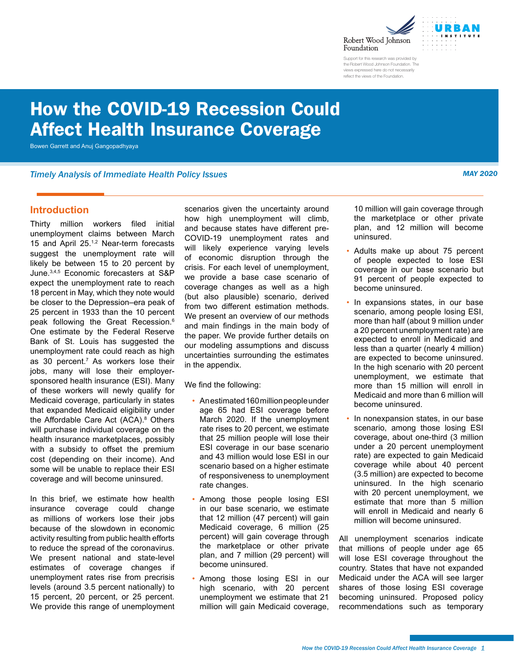



Support for this research was provided by the Robert Wood Johnson Foundation. The views expressed here do not necessarily reflect the views of the Foundation.

# <span id="page-0-0"></span>How the COVID-19 Recession Could Affect Health Insurance Coverage

Bowen Garrett and Anuj Gangopadhyaya

*Timely Analysis of Immediate Health Policy Issues MAY 2020*

#### **Introduction**

Thirty million workers filed initial unemployment claims between March 15 and April 25.[1,2](#page-10-0) Near-term forecasts suggest the unemployment rate will likely be between 15 to 20 percent by June[.3,4,5](#page-10-0) Economic forecasters at S&P expect the unemployment rate to reach 18 percent in May, which they note would be closer to the Depression–era peak of 25 percent in 1933 than the 10 percent peak following the Great Recession.<sup>[6](#page-10-0)</sup> One estimate by the Federal Reserve Bank of St. Louis has suggested the unemployment rate could reach as high as 30 percent[.7](#page-10-0) As workers lose their jobs, many will lose their employersponsored health insurance (ESI). Many of these workers will newly qualify for Medicaid coverage, particularly in states that expanded Medicaid eligibility under the Affordable Care Act (ACA).<sup>[8](#page-10-0)</sup> Others will purchase individual coverage on the health insurance marketplaces, possibly with a subsidy to offset the premium cost (depending on their income). And some will be unable to replace their ESI coverage and will become uninsured.

In this brief, we estimate how health insurance coverage could change as millions of workers lose their jobs because of the slowdown in economic activity resulting from public health efforts to reduce the spread of the coronavirus. We present national and state-level estimates of coverage changes if unemployment rates rise from precrisis levels (around 3.5 percent nationally) to 15 percent, 20 percent, or 25 percent. We provide this range of unemployment scenarios given the uncertainty around how high unemployment will climb, and because states have different pre-COVID-19 unemployment rates and will likely experience varying levels of economic disruption through the crisis. For each level of unemployment, we provide a base case scenario of coverage changes as well as a high (but also plausible) scenario, derived from two different estimation methods. We present an overview of our methods and main findings in the main body of the paper. We provide further details on our modeling assumptions and discuss uncertainties surrounding the estimates in the appendix.

We find the following:

- An estimated 160 million people under age 65 had ESI coverage before March 2020. If the unemployment rate rises to 20 percent, we estimate that 25 million people will lose their ESI coverage in our base scenario and 43 million would lose ESI in our scenario based on a higher estimate of responsiveness to unemployment rate changes.
- Among those people losing ESI in our base scenario, we estimate that 12 million (47 percent) will gain Medicaid coverage, 6 million (25 percent) will gain coverage through the marketplace or other private plan, and 7 million (29 percent) will become uninsured.
- Among those losing ESI in our high scenario, with 20 percent unemployment we estimate that 21 million will gain Medicaid coverage,

10 million will gain coverage through the marketplace or other private plan, and 12 million will become uninsured.

- Adults make up about 75 percent of people expected to lose ESI coverage in our base scenario but 91 percent of people expected to become uninsured.
- In expansions states, in our base scenario, among people losing ESI, more than half (about 9 million under a 20 percent unemployment rate) are expected to enroll in Medicaid and less than a quarter (nearly 4 million) are expected to become uninsured. In the high scenario with 20 percent unemployment, we estimate that more than 15 million will enroll in Medicaid and more than 6 million will become uninsured.
- In nonexpansion states, in our base scenario, among those losing ESI coverage, about one-third (3 million under a 20 percent unemployment rate) are expected to gain Medicaid coverage while about 40 percent (3.5 million) are expected to become uninsured. In the high scenario with 20 percent unemployment, we estimate that more than 5 million will enroll in Medicaid and nearly 6 million will become uninsured.

All unemployment scenarios indicate that millions of people under age 65 will lose ESI coverage throughout the country. States that have not expanded Medicaid under the ACA will see larger shares of those losing ESI coverage becoming uninsured. Proposed policy recommendations such as temporary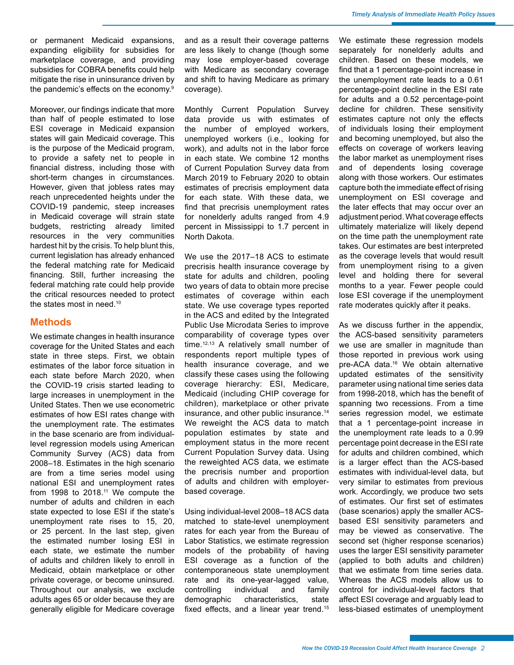<span id="page-1-0"></span>or permanent Medicaid expansions, expanding eligibility for subsidies for marketplace coverage, and providing subsidies for COBRA benefits could help mitigate the rise in uninsurance driven by the pandemic's effects on the economy[.9](#page-10-0)

Moreover, our findings indicate that more than half of people estimated to lose ESI coverage in Medicaid expansion states will gain Medicaid coverage. This is the purpose of the Medicaid program, to provide a safety net to people in financial distress, including those with short-term changes in circumstances. However, given that jobless rates may reach unprecedented heights under the COVID-19 pandemic, steep increases in Medicaid coverage will strain state budgets, restricting already limited resources in the very communities hardest hit by the crisis. To help blunt this, current legislation has already enhanced the federal matching rate for Medicaid financing. Still, further increasing the federal matching rate could help provide the critical resources needed to protect the states most in need.<sup>[10](#page-10-0)</sup>

#### **Methods**

We estimate changes in health insurance coverage for the United States and each state in three steps. First, we obtain estimates of the labor force situation in each state before March 2020, when the COVID-19 crisis started leading to large increases in unemployment in the United States. Then we use econometric estimates of how ESI rates change with the unemployment rate. The estimates in the base scenario are from individuallevel regression models using American Community Survey (ACS) data from 2008–18. Estimates in the high scenario are from a time series model using national ESI and unemployment rates from 1998 to  $2018<sup>11</sup>$  We compute the number of adults and children in each state expected to lose ESI if the state's unemployment rate rises to 15, 20, or 25 percent. In the last step, given the estimated number losing ESI in each state, we estimate the number of adults and children likely to enroll in Medicaid, obtain marketplace or other private coverage, or become uninsured. Throughout our analysis, we exclude adults ages 65 or older because they are generally eligible for Medicare coverage

and as a result their coverage patterns are less likely to change (though some may lose employer-based coverage with Medicare as secondary coverage and shift to having Medicare as primary coverage).

Monthly Current Population Survey data provide us with estimates of the number of employed workers, unemployed workers (i.e., looking for work), and adults not in the labor force in each state. We combine 12 months of Current Population Survey data from March 2019 to February 2020 to obtain estimates of precrisis employment data for each state. With these data, we find that precrisis unemployment rates for nonelderly adults ranged from 4.9 percent in Mississippi to 1.7 percent in North Dakota.

We use the 2017–18 ACS to estimate precrisis health insurance coverage by state for adults and children, pooling two years of data to obtain more precise estimates of coverage within each state. We use coverage types reported in the ACS and edited by the Integrated Public Use Microdata Series to improve comparability of coverage types over time.<sup>12,13</sup> A relatively small number of respondents report multiple types of health insurance coverage, and we classify these cases using the following coverage hierarchy: ESI, Medicare, Medicaid (including CHIP coverage for children), marketplace or other private insurance, and other public insurance.[14](#page-10-0) We reweight the ACS data to match population estimates by state and employment status in the more recent Current Population Survey data. Using the reweighted ACS data, we estimate the precrisis number and proportion of adults and children with employerbased coverage.

Using individual-level 2008–18 ACS data matched to state-level unemployment rates for each year from the Bureau of Labor Statistics, we estimate regression models of the probability of having ESI coverage as a function of the contemporaneous state unemployment rate and its one-year-lagged value, controlling individual and family demographic characteristics, state fixed effects, and a linear year trend.[15](#page-10-0)

We estimate these regression models separately for nonelderly adults and children. Based on these models, we find that a 1 percentage-point increase in the unemployment rate leads to a 0.61 percentage-point decline in the ESI rate for adults and a 0.52 percentage-point decline for children. These sensitivity estimates capture not only the effects of individuals losing their employment and becoming unemployed, but also the effects on coverage of workers leaving the labor market as unemployment rises and of dependents losing coverage along with those workers. Our estimates capture both the immediate effect of rising unemployment on ESI coverage and the later effects that may occur over an adjustment period. What coverage effects ultimately materialize will likely depend on the time path the unemployment rate takes. Our estimates are best interpreted as the coverage levels that would result from unemployment rising to a given level and holding there for several months to a year. Fewer people could lose ESI coverage if the unemployment rate moderates quickly after it peaks.

As we discuss further in the appendix, the ACS-based sensitivity parameters we use are smaller in magnitude than those reported in previous work using pre-ACA data.<sup>16</sup> We obtain alternative updated estimates of the sensitivity parameter using national time series data from 1998-2018, which has the benefit of spanning two recessions. From a time series regression model, we estimate that a 1 percentage-point increase in the unemployment rate leads to a 0.99 percentage point decrease in the ESI rate for adults and children combined, which is a larger effect than the ACS-based estimates with individual-level data, but very similar to estimates from previous work. Accordingly, we produce two sets of estimates. Our first set of estimates (base scenarios) apply the smaller ACSbased ESI sensitivity parameters and may be viewed as conservative. The second set (higher response scenarios) uses the larger ESI sensitivity parameter (applied to both adults and children) that we estimate from time series data. Whereas the ACS models allow us to control for individual-level factors that affect ESI coverage and arguably lead to less-biased estimates of unemployment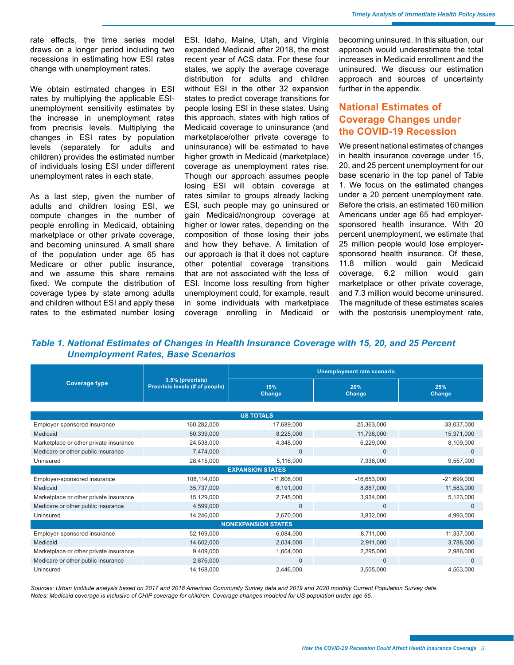rate effects, the time series model draws on a longer period including two recessions in estimating how ESI rates change with unemployment rates.

We obtain estimated changes in ESI rates by multiplying the applicable ESIunemployment sensitivity estimates by the increase in unemployment rates from precrisis levels. Multiplying the changes in ESI rates by population levels (separately for adults and children) provides the estimated number of individuals losing ESI under different unemployment rates in each state.

As a last step, given the number of adults and children losing ESI, we compute changes in the number of people enrolling in Medicaid, obtaining marketplace or other private coverage, and becoming uninsured. A small share of the population under age 65 has Medicare or other public insurance, and we assume this share remains fixed. We compute the distribution of coverage types by state among adults and children without ESI and apply these rates to the estimated number losing

ESI. Idaho, Maine, Utah, and Virginia expanded Medicaid after 2018, the most recent year of ACS data. For these four states, we apply the average coverage distribution for adults and children without ESI in the other 32 expansion states to predict coverage transitions for people losing ESI in these states. Using this approach, states with high ratios of Medicaid coverage to uninsurance (and marketplace/other private coverage to uninsurance) will be estimated to have higher growth in Medicaid (marketplace) coverage as unemployment rates rise. Though our approach assumes people losing ESI will obtain coverage at rates similar to groups already lacking ESI, such people may go uninsured or gain Medicaid/nongroup coverage at higher or lower rates, depending on the composition of those losing their jobs and how they behave. A limitation of our approach is that it does not capture other potential coverage transitions that are not associated with the loss of ESI. Income loss resulting from higher unemployment could, for example, result in some individuals with marketplace coverage enrolling in Medicaid or becoming uninsured. In this situation, our approach would underestimate the total increases in Medicaid enrollment and the uninsured. We discuss our estimation approach and sources of uncertainty further in the appendix.

## **National Estimates of Coverage Changes under the COVID-19 Recession**

We present national estimates of changes in health insurance coverage under 15, 20, and 25 percent unemployment for our base scenario in the top panel of Table 1. We focus on the estimated changes under a 20 percent unemployment rate. Before the crisis, an estimated 160 million Americans under age 65 had employersponsored health insurance. With 20 percent unemployment, we estimate that 25 million people would lose employersponsored health insurance. Of these, 11.8 million would gain Medicaid coverage, 6.2 million would gain marketplace or other private coverage, and 7.3 million would become uninsured. The magnitude of these estimates scales with the postcrisis unemployment rate,

#### *Table 1. National Estimates of Changes in Health Insurance Coverage with 15, 20, and 25 Percent Unemployment Rates, Base Scenarios*

|                                        |                                                    | <b>Unemployment rate scenario</b> |               |               |  |  |  |  |  |  |  |
|----------------------------------------|----------------------------------------------------|-----------------------------------|---------------|---------------|--|--|--|--|--|--|--|
| <b>Coverage type</b>                   | 3.5% (precrisis)<br>Precrisis levels (# of people) | 15%<br>Change                     | 20%<br>Change | 25%<br>Change |  |  |  |  |  |  |  |
|                                        |                                                    |                                   |               |               |  |  |  |  |  |  |  |
|                                        |                                                    | <b>US TOTALS</b>                  |               |               |  |  |  |  |  |  |  |
| Employer-sponsored insurance           | 160,282,000                                        | $-17,689,000$                     | $-25,363,000$ | $-33,037,000$ |  |  |  |  |  |  |  |
| Medicaid                               | 50,339,000                                         | 8,225,000                         | 11,798,000    | 15,371,000    |  |  |  |  |  |  |  |
| Marketplace or other private insurance | 24,538,000                                         | 4,348,000                         | 6,229,000     | 8,109,000     |  |  |  |  |  |  |  |
| Medicare or other public insurance     | 7,474,000                                          | $\Omega$                          | $\mathbf{0}$  | $\Omega$      |  |  |  |  |  |  |  |
| Uninsured                              | 28,415,000                                         | 5,116,000                         | 7,336,000     | 9,557,000     |  |  |  |  |  |  |  |
|                                        |                                                    | <b>EXPANSION STATES</b>           |               |               |  |  |  |  |  |  |  |
| Employer-sponsored insurance           | 108,114,000                                        | $-11,606,000$                     | $-16,653,000$ | $-21,699,000$ |  |  |  |  |  |  |  |
| Medicaid                               | 35,737,000                                         | 6,191,000                         | 8,887,000     | 11,583,000    |  |  |  |  |  |  |  |
| Marketplace or other private insurance | 15,129,000                                         | 2,745,000                         | 3,934,000     | 5,123,000     |  |  |  |  |  |  |  |
| Medicare or other public insurance     | 4,599,000                                          | $\Omega$                          | $\mathbf{0}$  | $\Omega$      |  |  |  |  |  |  |  |
| Uninsured                              | 14,246,000                                         | 2,670,000                         | 3,832,000     | 4,993,000     |  |  |  |  |  |  |  |
| <b>NONEXPANSION STATES</b>             |                                                    |                                   |               |               |  |  |  |  |  |  |  |
| Employer-sponsored insurance           | 52,169,000                                         | $-6,084,000$                      | $-8,711,000$  | $-11,337,000$ |  |  |  |  |  |  |  |
| Medicaid                               | 14,602,000                                         | 2,034,000                         | 2,911,000     | 3,788,000     |  |  |  |  |  |  |  |
| Marketplace or other private insurance | 9,409,000                                          | 1,604,000                         | 2,295,000     | 2,986,000     |  |  |  |  |  |  |  |
| Medicare or other public insurance     | 2,876,000                                          | $\mathbf 0$                       | $\mathbf{0}$  | $\Omega$      |  |  |  |  |  |  |  |
| Uninsured                              | 14,168,000                                         | 2,446,000                         | 3,505,000     | 4,563,000     |  |  |  |  |  |  |  |

*Sources: Urban Institute analysis based on 2017 and 2018 American Community Survey data and 2019 and 2020 monthly Current Population Survey data. Notes: Medicaid coverage is inclusive of CHIP coverage for children. Coverage changes modeled for US population under age 65.*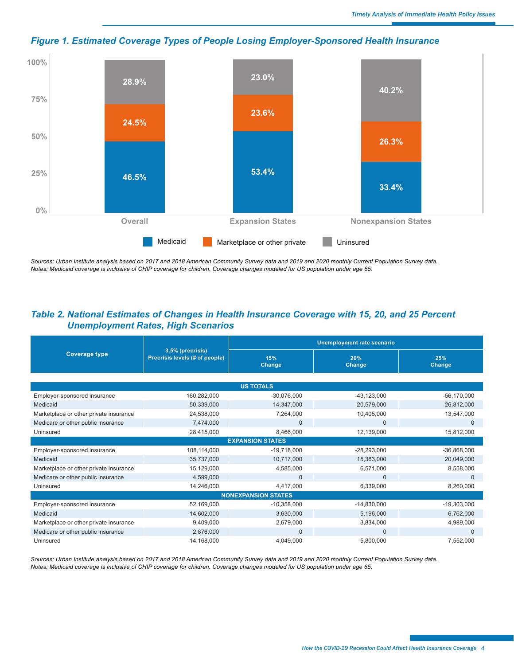

## *Figure 1. Estimated Coverage Types of People Losing Employer-Sponsored Health Insurance*

*Sources: Urban Institute analysis based on 2017 and 2018 American Community Survey data and 2019 and 2020 monthly Current Population Survey data. Notes: Medicaid coverage is inclusive of CHIP coverage for children. Coverage changes modeled for US population under age 65.* 

## *Table 2. National Estimates of Changes in Health Insurance Coverage with 15, 20, and 25 Percent Unemployment Rates, High Scenarios*

|                                        |                                                    | <b>Unemployment rate scenario</b> |                      |                 |  |  |  |  |
|----------------------------------------|----------------------------------------------------|-----------------------------------|----------------------|-----------------|--|--|--|--|
| <b>Coverage type</b>                   | 3.5% (precrisis)<br>Precrisis levels (# of people) | 15%<br>Change                     | 20%<br><b>Change</b> | 25%<br>Change   |  |  |  |  |
|                                        |                                                    |                                   |                      |                 |  |  |  |  |
|                                        |                                                    | <b>US TOTALS</b>                  |                      |                 |  |  |  |  |
| Employer-sponsored insurance           | 160,282,000                                        | $-30,076,000$                     | $-43, 123, 000$      | $-56, 170, 000$ |  |  |  |  |
| Medicaid                               | 50,339,000                                         | 14,347,000                        | 20,579,000           | 26,812,000      |  |  |  |  |
| Marketplace or other private insurance | 24,538,000                                         | 7,264,000                         | 10,405,000           | 13,547,000      |  |  |  |  |
| Medicare or other public insurance     | 7,474,000                                          | $\mathbf{0}$                      | $\mathbf{0}$         | $\Omega$        |  |  |  |  |
| Uninsured                              | 28,415,000                                         | 8,466,000                         | 12,139,000           | 15,812,000      |  |  |  |  |
|                                        |                                                    | <b>EXPANSION STATES</b>           |                      |                 |  |  |  |  |
| Employer-sponsored insurance           | 108,114,000                                        | $-19,718,000$                     | $-28,293,000$        | $-36,868,000$   |  |  |  |  |
| Medicaid                               | 35,737,000                                         | 10,717,000                        | 15,383,000           | 20,049,000      |  |  |  |  |
| Marketplace or other private insurance | 15,129,000                                         | 4,585,000                         | 6,571,000            | 8,558,000       |  |  |  |  |
| Medicare or other public insurance     | 4,599,000                                          | $\Omega$                          | $\Omega$             | $\Omega$        |  |  |  |  |
| Uninsured                              | 14,246,000                                         | 4,417,000                         | 6,339,000            | 8,260,000       |  |  |  |  |
|                                        |                                                    | <b>NONEXPANSION STATES</b>        |                      |                 |  |  |  |  |
| Employer-sponsored insurance           | 52,169,000                                         | $-10,358,000$                     | $-14,830,000$        | $-19,303,000$   |  |  |  |  |
| Medicaid                               | 14,602,000                                         | 3,630,000                         | 5,196,000            | 6,762,000       |  |  |  |  |
| Marketplace or other private insurance | 9,409,000                                          | 2,679,000                         | 3,834,000            | 4,989,000       |  |  |  |  |
| Medicare or other public insurance     | 2,876,000                                          | $\Omega$                          | $\mathbf{0}$         | 0               |  |  |  |  |
| Uninsured                              | 14,168,000                                         | 4,049,000                         | 5,800,000            | 7,552,000       |  |  |  |  |

*Sources: Urban Institute analysis based on 2017 and 2018 American Community Survey data and 2019 and 2020 monthly Current Population Survey data. Notes: Medicaid coverage is inclusive of CHIP coverage for children. Coverage changes modeled for US population under age 65.*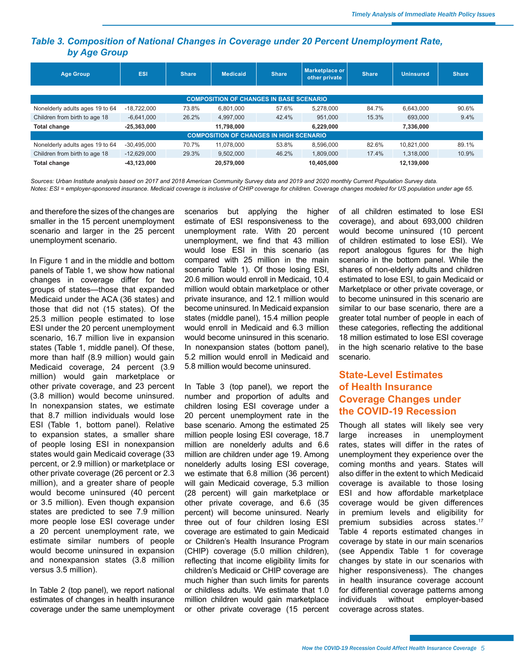### <span id="page-4-0"></span>*Table 3. Composition of National Changes in Coverage under 20 Percent Unemployment Rate, by Age Group*

| <b>Age Group</b>                               | <b>ESI</b>    | <b>Share</b> | <b>Medicaid</b>                                | <b>Share</b> | Marketplace or<br>other private | <b>Share</b> | <b>Uninsured</b> | <b>Share</b> |  |  |  |
|------------------------------------------------|---------------|--------------|------------------------------------------------|--------------|---------------------------------|--------------|------------------|--------------|--|--|--|
|                                                |               |              |                                                |              |                                 |              |                  |              |  |  |  |
|                                                |               |              | <b>COMPOSITION OF CHANGES IN BASE SCENARIO</b> |              |                                 |              |                  |              |  |  |  |
| Nonelderly adults ages 19 to 64                | $-18.722.000$ | 73.8%        | 6.801.000                                      | 57.6%        | 5.278.000                       | 84.7%        | 6.643.000        | 90.6%        |  |  |  |
| Children from birth to age 18                  | $-6.641.000$  | 26.2%        | 4.997.000                                      | 42.4%        | 951.000                         | 15.3%        | 693,000          | 9.4%         |  |  |  |
| Total change                                   | $-25.363.000$ |              | 11,798,000                                     |              | 6.229.000                       |              | 7,336,000        |              |  |  |  |
| <b>COMPOSITION OF CHANGES IN HIGH SCENARIO</b> |               |              |                                                |              |                                 |              |                  |              |  |  |  |
| Nonelderly adults ages 19 to 64                | $-30.495.000$ | 70.7%        | 11.078.000                                     | 53.8%        | 8.596.000                       | 82.6%        | 10.821.000       | 89.1%        |  |  |  |
| Children from birth to age 18                  | $-12.629.000$ | 29.3%        | 9.502.000                                      | 46.2%        | 1.809.000                       | 17.4%        | 1.318.000        | 10.9%        |  |  |  |
| Total change                                   | $-43,123,000$ |              | 20,579,000                                     |              | 10,405,000                      |              | 12,139,000       |              |  |  |  |

*Sources: Urban Institute analysis based on 2017 and 2018 American Community Survey data and 2019 and 2020 monthly Current Population Survey data. Notes: ESI = employer-sponsored insurance. Medicaid coverage is inclusive of CHIP coverage for children. Coverage changes modeled for US population under age 65.*

and therefore the sizes of the changes are smaller in the 15 percent unemployment scenario and larger in the 25 percent unemployment scenario.

In Figure 1 and in the middle and bottom panels of Table 1, we show how national changes in coverage differ for two groups of states—those that expanded Medicaid under the ACA (36 states) and those that did not (15 states). Of the 25.3 million people estimated to lose ESI under the 20 percent unemployment scenario, 16.7 million live in expansion states (Table 1, middle panel). Of these, more than half (8.9 million) would gain Medicaid coverage, 24 percent (3.9 million) would gain marketplace or other private coverage, and 23 percent (3.8 million) would become uninsured. In nonexpansion states, we estimate that 8.7 million individuals would lose ESI (Table 1, bottom panel). Relative to expansion states, a smaller share of people losing ESI in nonexpansion states would gain Medicaid coverage (33 percent, or 2.9 million) or marketplace or other private coverage (26 percent or 2.3 million), and a greater share of people would become uninsured (40 percent or 3.5 million). Even though expansion states are predicted to see 7.9 million more people lose ESI coverage under a 20 percent unemployment rate, we estimate similar numbers of people would become uninsured in expansion and nonexpansion states (3.8 million versus 3.5 million).

In Table 2 (top panel), we report national estimates of changes in health insurance coverage under the same unemployment scenarios but applying the higher estimate of ESI responsiveness to the unemployment rate. With 20 percent unemployment, we find that 43 million would lose ESI in this scenario (as compared with 25 million in the main scenario Table 1). Of those losing ESI, 20.6 million would enroll in Medicaid, 10.4 million would obtain marketplace or other private insurance, and 12.1 million would become uninsured. In Medicaid expansion states (middle panel), 15.4 million people would enroll in Medicaid and 6.3 million would become uninsured in this scenario. In nonexpansion states (bottom panel), 5.2 million would enroll in Medicaid and 5.8 million would become uninsured.

In Table 3 (top panel), we report the number and proportion of adults and children losing ESI coverage under a 20 percent unemployment rate in the base scenario. Among the estimated 25 million people losing ESI coverage, 18.7 million are nonelderly adults and 6.6 million are children under age 19. Among nonelderly adults losing ESI coverage, we estimate that 6.8 million (36 percent) will gain Medicaid coverage, 5.3 million (28 percent) will gain marketplace or other private coverage, and 6.6 (35 percent) will become uninsured. Nearly three out of four children losing ESI coverage are estimated to gain Medicaid or Children's Health Insurance Program (CHIP) coverage (5.0 million children), reflecting that income eligibility limits for children's Medicaid or CHIP coverage are much higher than such limits for parents or childless adults. We estimate that 1.0 million children would gain marketplace or other private coverage (15 percent of all children estimated to lose ESI coverage), and about 693,000 children would become uninsured (10 percent of children estimated to lose ESI). We report analogous figures for the high scenario in the bottom panel. While the shares of non-elderly adults and children estimated to lose ESI, to gain Medicaid or Marketplace or other private coverage, or to become uninsured in this scenario are similar to our base scenario, there are a greater total number of people in each of these categories, reflecting the additional 18 million estimated to lose ESI coverage in the high scenario relative to the base scenario.

# **State-Level Estimates of Health Insurance Coverage Changes under the COVID-19 Recession**

Though all states will likely see very large increases in unemployment rates, states will differ in the rates of unemployment they experience over the coming months and years. States will also differ in the extent to which Medicaid coverage is available to those losing ESI and how affordable marketplace coverage would be given differences in premium levels and eligibility for premium subsidies across states.<sup>[17](#page-10-0)</sup> Table 4 reports estimated changes in coverage by state in our main scenarios (see Appendix Table 1 for coverage changes by state in our scenarios with higher responsiveness). The changes in health insurance coverage account for differential coverage patterns among individuals without employer-based coverage across states.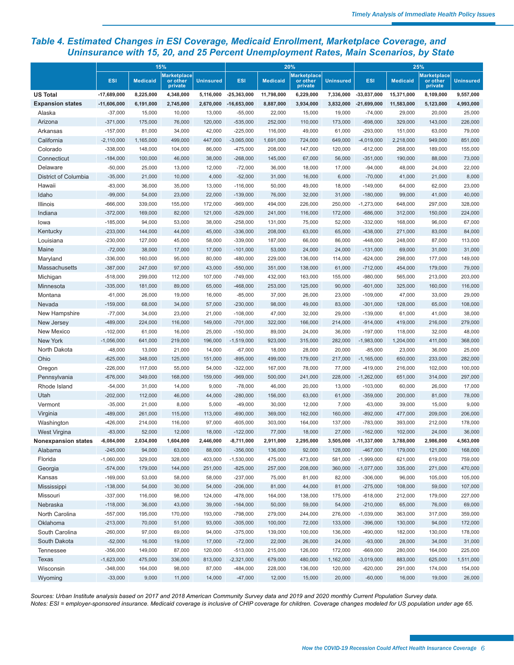## *Table 4. Estimated Changes in ESI Coverage, Medicaid Enrollment, Marketplace Coverage, and Uninsurance with 15, 20, and 25 Percent Unemployment Rates, Main Scenarios, by State*

|                            |               |                 | 15%                                       |                  | 20%           |                 |                                           | 25%              |               |                 |                                           |                  |
|----------------------------|---------------|-----------------|-------------------------------------------|------------------|---------------|-----------------|-------------------------------------------|------------------|---------------|-----------------|-------------------------------------------|------------------|
|                            | <b>ESI</b>    | <b>Medicaid</b> | <b>Marketplace</b><br>or other<br>private | <b>Uninsured</b> | <b>ESI</b>    | <b>Medicaid</b> | <b>Marketplace</b><br>or other<br>private | <b>Uninsured</b> | <b>ESI</b>    | <b>Medicaid</b> | <b>Marketplace</b><br>or other<br>private | <b>Uninsured</b> |
| <b>US Total</b>            | $-17,689,000$ | 8,225,000       | 4,348,000                                 | 5,116,000        | $-25,363,000$ | 11,798,000      | 6,229,000                                 | 7,336,000        | $-33,037,000$ | 15,371,000      | 8,109,000                                 | 9,557,000        |
| <b>Expansion states</b>    | $-11,606,000$ | 6,191,000       | 2,745,000                                 | 2,670,000        | $-16,653,000$ | 8,887,000       | 3,934,000                                 | 3,832,000        | $-21,699,000$ | 11,583,000      | 5,123,000                                 | 4,993,000        |
| Alaska                     | $-37,000$     | 15,000          | 10,000                                    | 13,000           | $-55,000$     | 22,000          | 15,000                                    | 19,000           | $-74,000$     | 29,000          | 20,000                                    | 25,000           |
| Arizona                    | $-371,000$    | 175,000         | 76,000                                    | 120,000          | $-535,000$    | 252,000         | 110,000                                   | 173,000          | $-698,000$    | 329,000         | 143,000                                   | 226,000          |
| Arkansas                   | $-157,000$    | 81,000          | 34,000                                    | 42,000           | $-225,000$    | 116,000         | 49,000                                    | 61,000           | $-293,000$    | 151,000         | 63,000                                    | 79,000           |
| California                 | $-2,110,000$  | 1,165,000       | 499,000                                   | 447,000          | $-3,065,000$  | 1,691,000       | 724,000                                   | 649,000          | $-4,019,000$  | 2,218,000       | 949,000                                   | 851,000          |
| Colorado                   | $-338,000$    | 148,000         | 104,000                                   | 86,000           | $-475,000$    | 208,000         | 147,000                                   | 120,000          | $-612,000$    | 268,000         | 189,000                                   | 155,000          |
| Connecticut                | $-184,000$    | 100,000         | 46,000                                    | 38,000           | $-268,000$    | 145,000         | 67,000                                    | 56,000           | $-351,000$    | 190,000         | 88,000                                    | 73,000           |
| Delaware                   | $-50,000$     | 25,000          | 13,000                                    | 12,000           | $-72,000$     | 36,000          | 18,000                                    | 17,000           | $-94,000$     | 48,000          | 24,000                                    | 22,000           |
| District of Columbia       | $-35,000$     | 21,000          | 10,000                                    | 4,000            | $-52,000$     | 31,000          | 16,000                                    | 6,000            | $-70,000$     | 41,000          | 21,000                                    | 8,000            |
| Hawaii                     | $-83,000$     | 36,000          | 35,000                                    | 13,000           | $-116,000$    | 50,000          | 49,000                                    | 18,000           | $-149,000$    | 64,000          | 62,000                                    | 23,000           |
| Idaho                      | $-99,000$     | 54,000          | 23,000                                    | 22,000           | $-139,000$    | 76,000          | 32,000                                    | 31,000           | $-180,000$    | 99,000          | 41,000                                    | 40,000           |
| Illinois                   | $-666,000$    | 339,000         | 155,000                                   | 172,000          | $-969,000$    | 494,000         | 226,000                                   | 250,000          | $-1,273,000$  | 648,000         | 297,000                                   | 328,000          |
| Indiana                    | $-372,000$    | 169,000         | 82,000                                    | 121,000          | $-529,000$    | 241,000         | 116,000                                   | 172,000          | $-686,000$    | 312,000         | 150,000                                   | 224,000          |
| lowa                       | $-185,000$    | 94,000          | 53,000                                    | 38,000           | $-258,000$    | 131,000         | 75,000                                    | 52,000           | $-332,000$    | 168,000         | 96,000                                    | 67,000           |
| Kentucky                   | $-233,000$    | 144,000         | 44,000                                    | 45,000           | $-336,000$    | 208,000         | 63,000                                    | 65,000           | $-438,000$    | 271,000         | 83,000                                    | 84,000           |
| Louisiana                  | $-230,000$    | 127,000         | 45,000                                    | 58,000           | $-339,000$    | 187,000         | 66,000                                    | 86,000           | $-448,000$    | 248,000         | 87,000                                    | 113,000          |
| Maine                      | $-72,000$     | 38,000          | 17,000                                    | 17,000           | $-101,000$    | 53,000          | 24,000                                    | 24,000           | $-131,000$    | 69,000          | 31,000                                    | 31,000           |
| Maryland                   | $-336,000$    | 160,000         | 95,000                                    | 80,000           | $-480,000$    | 229,000         | 136,000                                   | 114,000          | $-624,000$    | 298,000         | 177,000                                   | 149,000          |
| Massachusetts              | $-387,000$    | 247,000         | 97,000                                    | 43,000           | $-550,000$    | 351,000         | 138,000                                   | 61,000           | $-712,000$    | 454,000         | 179,000                                   | 79,000           |
| Michigan                   | $-518,000$    | 299,000         | 112,000                                   | 107,000          | $-749,000$    | 432,000         | 163,000                                   | 155,000          | $-980,000$    | 565,000         | 213,000                                   | 203,000          |
| Minnesota                  | $-335,000$    | 181,000         | 89,000                                    | 65,000           | $-468,000$    | 253,000         | 125,000                                   | 90,000           | $-601,000$    | 325.000         | 160,000                                   | 116,000          |
| Montana                    | $-61,000$     | 26,000          | 19,000                                    | 16,000           | $-85,000$     | 37,000          | 26,000                                    | 23,000           | $-109,000$    | 47,000          | 33,000                                    | 29,000           |
| Nevada                     | $-159,000$    | 68,000          | 34,000                                    | 57,000           | $-230,000$    | 98,000          | 49,000                                    | 83,000           | $-301,000$    | 128,000         | 65,000                                    | 108,000          |
| New Hampshire              | $-77,000$     | 34,000          | 23,000                                    | 21,000           | $-108,000$    | 47,000          | 32,000                                    | 29,000           | $-139,000$    | 61,000          | 41,000                                    | 38,000           |
| New Jersey                 | $-489,000$    | 224,000         | 116,000                                   | 149,000          | $-701,000$    | 322,000         | 166,000                                   | 214,000          | $-914,000$    | 419,000         | 216,000                                   | 279,000          |
| New Mexico                 | $-102,000$    | 61,000          | 16,000                                    | 25,000           | $-150,000$    | 89,000          | 24,000                                    | 36,000           | $-197,000$    | 118,000         | 32,000                                    | 48,000           |
| New York                   | $-1,056,000$  | 641,000         | 219,000                                   | 196,000          | $-1,519,000$  | 923,000         | 315,000                                   | 282,000          | $-1,983,000$  | 1,204,000       | 411,000                                   | 368,000          |
| North Dakota               | $-48,000$     | 13,000          | 21,000                                    | 14,000           | $-67,000$     | 18,000          | 28,000                                    | 20,000           | $-85,000$     | 23,000          | 36,000                                    | 25,000           |
| Ohio                       | $-625,000$    | 348,000         | 125,000                                   | 151,000          | $-895,000$    | 499,000         | 179,000                                   | 217,000          | $-1,165,000$  | 650,000         | 233,000                                   | 282,000          |
| Oregon                     | $-226,000$    | 117,000         | 55,000                                    | 54,000           | $-322,000$    | 167,000         | 78,000                                    | 77,000           | $-419,000$    | 216,000         | 102,000                                   | 100,000          |
| Pennsylvania               | $-676,000$    | 349,000         | 168,000                                   | 159,000          | $-969,000$    | 500,000         | 241,000                                   | 228,000          | $-1,262,000$  | 651,000         | 314,000                                   | 297,000          |
| Rhode Island               | $-54,000$     | 31,000          | 14,000                                    | 9,000            | $-78,000$     | 46,000          | 20,000                                    | 13,000           | $-103,000$    | 60,000          | 26,000                                    | 17,000           |
| Utah                       | $-202,000$    | 112,000         | 46,000                                    | 44,000           | $-280,000$    | 156,000         | 63,000                                    | 61,000           | $-359,000$    | 200,000         | 81,000                                    | 78,000           |
| Vermont                    | $-35,000$     | 21,000          | 8,000                                     | 5,000            | $-49,000$     | 30,000          | 12,000                                    | 7,000            | $-63,000$     | 39,000          | 15,000                                    | 9,000            |
| Virginia                   | $-489,000$    | 261,000         | 115,000                                   | 113,000          | $-690,000$    | 369,000         | 162,000                                   | 160,000          | $-892,000$    | 477,000         | 209,000                                   | 206,000          |
| Washington                 | $-426,000$    | 214,000         | 116,000                                   | 97,000           | $-605,000$    | 303,000         | 164,000                                   | 137,000          | $-783,000$    | 393,000         | 212,000                                   | 178,000          |
| West Virgina               | $-83,000$     | 52,000          | 12,000                                    | 18,000           | $-122,000$    | 77,000          | 18,000                                    | 27,000           | $-162.000$    | 102.000         | 24,000                                    | 36,000           |
| <b>Nonexpansion states</b> | $-6,084,000$  | 2,034,000       | 1,604,000                                 | 2,446,000        | $-8,711,000$  | 2,911,000       | 2,295,000                                 | 3,505,000        | -11,337,000   | 3,788,000       | 2,986,000                                 | 4,563,000        |
| Alabama                    | $-245,000$    | 94,000          | 63,000                                    | 88,000           | $-356,000$    | 136,000         | 92,000                                    | 128,000          | $-467,000$    | 179,000         | 121,000                                   | 168,000          |
| Florida                    | $-1,060,000$  | 329,000         | 328,000                                   | 403,000          | $-1,530,000$  | 475,000         | 473,000                                   | 581,000          | $-1,999,000$  | 621,000         | 619,000                                   | 759,000          |
| Georgia                    | $-574,000$    | 179,000         | 144,000                                   | 251,000          | $-825,000$    | 257,000         | 208,000                                   | 360,000          | $-1,077,000$  | 335,000         | 271,000                                   | 470,000          |
| Kansas                     | $-169,000$    | 53,000          | 58,000                                    | 58,000           | $-237,000$    | 75,000          | 81,000                                    | 82,000           | $-306,000$    | 96,000          | 105,000                                   | 105,000          |
| Mississippi                | $-138,000$    | 54,000          | 30,000                                    | 54,000           | $-206,000$    | 81,000          | 44,000                                    | 81,000           | $-275,000$    | 108,000         | 59,000                                    | 107,000          |
| Missouri                   | $-337,000$    | 116,000         | 98,000                                    | 124,000          | $-478,000$    | 164,000         | 138,000                                   | 175,000          | $-618,000$    | 212,000         | 179,000                                   | 227,000          |
| Nebraska                   | $-118,000$    | 36,000          | 43,000                                    | 39,000           | $-164,000$    | 50,000          | 59,000                                    | 54,000           | $-210,000$    | 65,000          | 76,000                                    | 69,000           |
| North Carolina             | $-557,000$    | 195,000         | 170,000                                   | 193,000          | $-798,000$    | 279,000         | 244,000                                   | 276,000          | $-1,039,000$  | 363,000         | 317,000                                   | 359,000          |
|                            | $-213,000$    | 70,000          |                                           | 93,000           |               |                 | 72,000                                    |                  |               | 130,000         | 94,000                                    |                  |
| Oklahoma                   |               |                 | 51,000                                    |                  | $-305,000$    | 100,000         |                                           | 133,000          | $-396,000$    |                 |                                           | 172,000          |
| South Carolina             | $-260,000$    | 97,000          | 69,000                                    | 94,000           | $-375,000$    | 139,000         | 100,000                                   | 136,000          | $-490,000$    | 182,000         | 130,000                                   | 178,000          |
| South Dakota               | $-52,000$     | 16,000          | 19,000                                    | 17,000           | $-72,000$     | 22,000          | 26,000                                    | 24,000           | $-93,000$     | 28,000          | 34,000                                    | 31,000           |
| Tennessee                  | $-356,000$    | 149,000         | 87,000                                    | 120,000          | $-513,000$    | 215,000         | 126,000                                   | 172,000          | $-669,000$    | 280,000         | 164,000                                   | 225,000          |
| Texas                      | $-1,623,000$  | 475,000         | 336,000                                   | 813,000          | $-2,321,000$  | 679,000         | 480,000                                   | 1,162,000        | $-3,019,000$  | 883,000         | 625,000                                   | 1,511,000        |
| Wisconsin                  | $-348,000$    | 164,000         | 98,000                                    | 87,000           | $-484,000$    | 228,000         | 136,000                                   | 120,000          | $-620,000$    | 291,000         | 174,000                                   | 154,000          |
| Wyoming                    | $-33,000$     | 9,000           | 11,000                                    | 14,000           | $-47,000$     | 12,000          | 15,000                                    | 20,000           | $-60,000$     | 16,000          | 19,000                                    | 26,000           |

*Sources: Urban Institute analysis based on 2017 and 2018 American Community Survey data and 2019 and 2020 monthly Current Population Survey data. Notes: ESI = employer-sponsored insurance. Medicaid coverage is inclusive of CHIP coverage for children. Coverage changes modeled for US population under age 65.*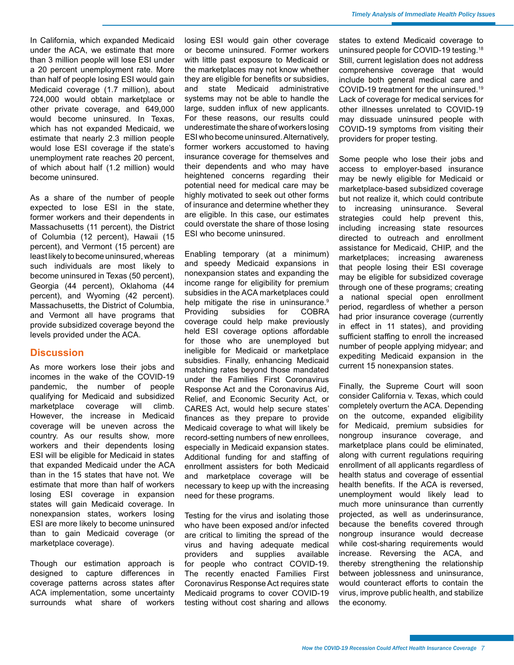<span id="page-6-0"></span>In California, which expanded Medicaid under the ACA, we estimate that more than 3 million people will lose ESI under a 20 percent unemployment rate. More than half of people losing ESI would gain Medicaid coverage (1.7 million), about 724,000 would obtain marketplace or other private coverage, and 649,000 would become uninsured. In Texas, which has not expanded Medicaid, we estimate that nearly 2.3 million people would lose ESI coverage if the state's unemployment rate reaches 20 percent, of which about half (1.2 million) would become uninsured.

As a share of the number of people expected to lose ESI in the state, former workers and their dependents in Massachusetts (11 percent), the District of Columbia (12 percent), Hawaii (15 percent), and Vermont (15 percent) are least likely to become uninsured, whereas such individuals are most likely to become uninsured in Texas (50 percent), Georgia (44 percent), Oklahoma (44 percent), and Wyoming (42 percent). Massachusetts, the District of Columbia, and Vermont all have programs that provide subsidized coverage beyond the levels provided under the ACA.

#### **Discussion**

As more workers lose their jobs and incomes in the wake of the COVID-19 pandemic, the number of people qualifying for Medicaid and subsidized marketplace coverage will climb. However, the increase in Medicaid coverage will be uneven across the country. As our results show, more workers and their dependents losing ESI will be eligible for Medicaid in states that expanded Medicaid under the ACA than in the 15 states that have not. We estimate that more than half of workers losing ESI coverage in expansion states will gain Medicaid coverage. In nonexpansion states, workers losing ESI are more likely to become uninsured than to gain Medicaid coverage (or marketplace coverage).

Though our estimation approach is designed to capture differences in coverage patterns across states after ACA implementation, some uncertainty surrounds what share of workers

losing ESI would gain other coverage or become uninsured. Former workers with little past exposure to Medicaid or the marketplaces may not know whether they are eligible for benefits or subsidies, and state Medicaid administrative systems may not be able to handle the large, sudden influx of new applicants. For these reasons, our results could underestimate the share of workers losing ESI who become uninsured. Alternatively, former workers accustomed to having insurance coverage for themselves and their dependents and who may have heightened concerns regarding their potential need for medical care may be highly motivated to seek out other forms of insurance and determine whether they are eligible. In this case, our estimates could overstate the share of those losing ESI who become uninsured.

Enabling temporary (at a minimum) and speedy Medicaid expansions in nonexpansion states and expanding the income range for eligibility for premium subsidies in the ACA marketplaces could help mitigate the rise in uninsurance.<sup>9</sup> Providing subsidies for COBRA coverage could help make previously held ESI coverage options affordable for those who are unemployed but ineligible for Medicaid or marketplace subsidies. Finally, enhancing Medicaid matching rates beyond those mandated under the Families First Coronavirus Response Act and the Coronavirus Aid, Relief, and Economic Security Act, or CARES Act, would help secure states' finances as they prepare to provide Medicaid coverage to what will likely be record-setting numbers of new enrollees, especially in Medicaid expansion states. Additional funding for and staffing of enrollment assisters for both Medicaid and marketplace coverage will be necessary to keep up with the increasing need for these programs.

Testing for the virus and isolating those who have been exposed and/or infected are critical to limiting the spread of the virus and having adequate medical providers and supplies available for people who contract COVID-19. The recently enacted Families First Coronavirus Response Act requires state Medicaid programs to cover COVID-19 testing without cost sharing and allows

states to extend Medicaid coverage to uninsured people for COVID-19 testing.[18](#page-10-0) Still, current legislation does not address comprehensive coverage that would include both general medical care and COVID-19 treatment for the uninsured.[19](#page-10-0) Lack of coverage for medical services for other illnesses unrelated to COVID-19 may dissuade uninsured people with COVID-19 symptoms from visiting their providers for proper testing.

Some people who lose their jobs and access to employer-based insurance may be newly eligible for Medicaid or marketplace-based subsidized coverage but not realize it, which could contribute to increasing uninsurance. Several strategies could help prevent this, including increasing state resources directed to outreach and enrollment assistance for Medicaid, CHIP, and the marketplaces; increasing awareness that people losing their ESI coverage may be eligible for subsidized coverage through one of these programs; creating a national special open enrollment period, regardless of whether a person had prior insurance coverage (currently in effect in 11 states), and providing sufficient staffing to enroll the increased number of people applying midyear; and expediting Medicaid expansion in the current 15 nonexpansion states.

Finally, the Supreme Court will soon consider California v. Texas, which could completely overturn the ACA. Depending on the outcome, expanded eligibility for Medicaid, premium subsidies for nongroup insurance coverage, and marketplace plans could be eliminated, along with current regulations requiring enrollment of all applicants regardless of health status and coverage of essential health benefits. If the ACA is reversed, unemployment would likely lead to much more uninsurance than currently projected, as well as underinsurance, because the benefits covered through nongroup insurance would decrease while cost-sharing requirements would increase. Reversing the ACA, and thereby strengthening the relationship between joblessness and uninsurance, would counteract efforts to contain the virus, improve public health, and stabilize the economy.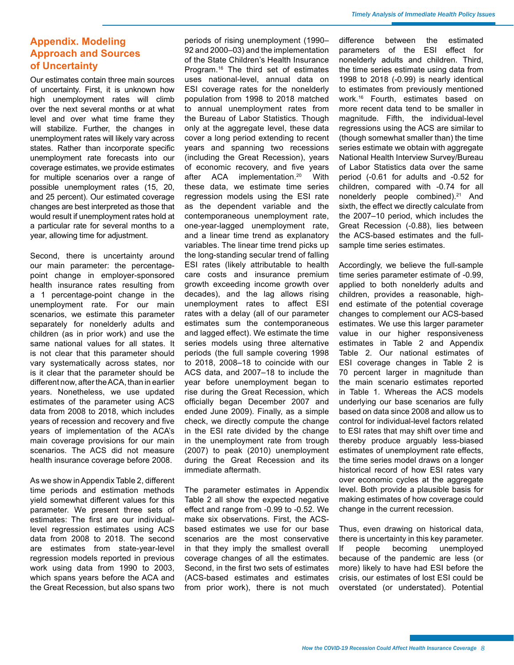<span id="page-7-0"></span>Our estimates contain three main sources of uncertainty. First, it is unknown how high unemployment rates will climb over the next several months or at what level and over what time frame they will stabilize. Further, the changes in unemployment rates will likely vary across states. Rather than incorporate specific unemployment rate forecasts into our coverage estimates, we provide estimates for multiple scenarios over a range of possible unemployment rates (15, 20, and 25 percent). Our estimated coverage changes are best interpreted as those that would result if unemployment rates hold at a particular rate for several months to a year, allowing time for adjustment.

Second, there is uncertainty around our main parameter: the percentagepoint change in employer-sponsored health insurance rates resulting from a 1 percentage-point change in the unemployment rate. For our main scenarios, we estimate this parameter separately for nonelderly adults and children (as in prior work) and use the same national values for all states. It is not clear that this parameter should vary systematically across states, nor is it clear that the parameter should be different now, after the ACA, than in earlier years. Nonetheless, we use updated estimates of the parameter using ACS data from 2008 to 2018, which includes years of recession and recovery and five years of implementation of the ACA's main coverage provisions for our main scenarios. The ACS did not measure health insurance coverage before 2008.

As we show in Appendix Table 2, different time periods and estimation methods yield somewhat different values for this parameter. We present three sets of estimates: The first are our individuallevel regression estimates using ACS data from 2008 to 2018. The second are estimates from state-year-level regression models reported in previous work using data from 1990 to 2003, which spans years before the ACA and the Great Recession, but also spans two periods of rising unemployment (1990– 92 and 2000–03) and the implementation of the State Children's Health Insurance Program.<sup>16</sup> The third set of estimates uses national-level, annual data on ESI coverage rates for the nonelderly population from 1998 to 2018 matched to annual unemployment rates from the Bureau of Labor Statistics. Though only at the aggregate level, these data cover a long period extending to recent years and spanning two recessions (including the Great Recession), years of economic recovery, and five years after ACA implementation[.20](#page-10-0) With these data, we estimate time series regression models using the ESI rate as the dependent variable and the contemporaneous unemployment rate, one-year-lagged unemployment rate, and a linear time trend as explanatory variables. The linear time trend picks up the long-standing secular trend of falling ESI rates (likely attributable to health care costs and insurance premium growth exceeding income growth over decades), and the lag allows rising unemployment rates to affect ESI rates with a delay (all of our parameter estimates sum the contemporaneous and lagged effect). We estimate the time series models using three alternative periods (the full sample covering 1998 to 2018, 2008–18 to coincide with our ACS data, and 2007–18 to include the year before unemployment began to rise during the Great Recession, which officially began December 2007 and ended June 2009). Finally, as a simple check, we directly compute the change in the ESI rate divided by the change in the unemployment rate from trough (2007) to peak (2010) unemployment during the Great Recession and its immediate aftermath.

The parameter estimates in Appendix Table 2 all show the expected negative effect and range from -0.99 to -0.52. We make six observations. First, the ACSbased estimates we use for our base scenarios are the most conservative in that they imply the smallest overall coverage changes of all the estimates. Second, in the first two sets of estimates (ACS-based estimates and estimates from prior work), there is not much difference between the estimated parameters of the ESI effect for nonelderly adults and children. Third, the time series estimate using data from 1998 to 2018 (-0.99) is nearly identical to estimates from previously mentioned work.16 Fourth, estimates based on more recent data tend to be smaller in magnitude. Fifth, the individual-level regressions using the ACS are similar to (though somewhat smaller than) the time series estimate we obtain with aggregate National Health Interview Survey/Bureau of Labor Statistics data over the same period (-0.61 for adults and -0.52 for children, compared with -0.74 for all nonelderly people combined).[21](#page-10-0) And sixth, the effect we directly calculate from the 2007–10 period, which includes the Great Recession (-0.88), lies between the ACS-based estimates and the fullsample time series estimates.

Accordingly, we believe the full-sample time series parameter estimate of -0.99, applied to both nonelderly adults and children, provides a reasonable, highend estimate of the potential coverage changes to complement our ACS-based estimates. We use this larger parameter value in our higher responsiveness estimates in Table 2 and Appendix Table 2. Our national estimates of ESI coverage changes in Table 2 is 70 percent larger in magnitude than the main scenario estimates reported in Table 1. Whereas the ACS models underlying our base scenarios are fully based on data since 2008 and allow us to control for individual-level factors related to ESI rates that may shift over time and thereby produce arguably less-biased estimates of unemployment rate effects, the time series model draws on a longer historical record of how ESI rates vary over economic cycles at the aggregate level. Both provide a plausible basis for making estimates of how coverage could change in the current recession.

Thus, even drawing on historical data, there is uncertainty in this key parameter. If people becoming unemployed because of the pandemic are less (or more) likely to have had ESI before the crisis, our estimates of lost ESI could be overstated (or understated). Potential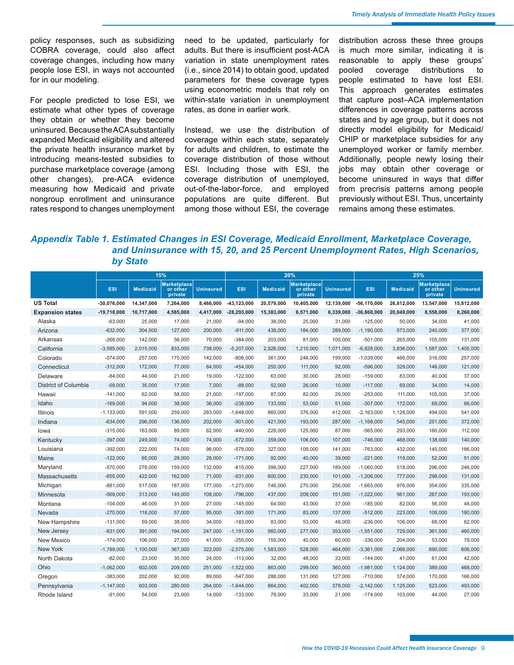policy responses, such as subsidizing COBRA coverage, could also affect coverage changes, including how many people lose ESI, in ways not accounted for in our modeling.

For people predicted to lose ESI, we estimate what other types of coverage they obtain or whether they become uninsured. Because the ACA substantially expanded Medicaid eligibility and altered the private health insurance market by introducing means-tested subsidies to purchase marketplace coverage (among other changes), pre-ACA evidence measuring how Medicaid and private nongroup enrollment and uninsurance rates respond to changes unemployment need to be updated, particularly for adults. But there is insufficient post-ACA variation in state unemployment rates (i.e., since 2014) to obtain good, updated parameters for these coverage types using econometric models that rely on within-state variation in unemployment rates, as done in earlier work.

Instead, we use the distribution of coverage within each state, separately for adults and children, to estimate the coverage distribution of those without ESI. Including those with ESI, the coverage distribution of unemployed, out-of-the-labor-force, and employed populations are quite different. But among those without ESI, the coverage

distribution across these three groups is much more similar, indicating it is reasonable to apply these groups' pooled coverage distributions to people estimated to have lost ESI. This approach generates estimates that capture post–ACA implementation differences in coverage patterns across states and by age group, but it does not directly model eligibility for Medicaid/ CHIP or marketplace subsidies for any unemployed worker or family member. Additionally, people newly losing their jobs may obtain other coverage or become uninsured in ways that differ from precrisis patterns among people previously without ESI. Thus, uncertainty remains among these estimates.

## *Appendix Table 1. Estimated Changes in ESI Coverage, Medicaid Enrollment, Marketplace Coverage, and Uninsurance with 15, 20, and 25 Percent Unemployment Rates, High Scenarios, by State*

|                         | 15%            |                 |                                           | 20%              |                 |                 |                                           | 25%              |                 |                 |                                           |                  |
|-------------------------|----------------|-----------------|-------------------------------------------|------------------|-----------------|-----------------|-------------------------------------------|------------------|-----------------|-----------------|-------------------------------------------|------------------|
|                         | <b>ESI</b>     | <b>Medicaid</b> | <b>Marketplace</b><br>or other<br>private | <b>Uninsured</b> | <b>ESI</b>      | <b>Medicaid</b> | <b>Marketplace</b><br>or other<br>private | <b>Uninsured</b> | <b>ESI</b>      | <b>Medicaid</b> | <b>Marketplace</b><br>or other<br>private | <b>Uninsured</b> |
| <b>US Total</b>         | $-30,076,000$  | 14,347,000      | 7,264,000                                 | 8,466,000        | $-43, 123, 000$ | 20,579,000      | 10,405,000                                | 12,139,000       | $-56, 170, 000$ | 26,812,000      | 13,547,000                                | 15,812,000       |
| <b>Expansion states</b> | $-19,718,000$  | 10,717,000      | 4,585,000                                 | 4,417,000        | $-28,293,000$   | 15,383,000      | 6,571,000                                 | 6,339,000        | $-36,868,000$   | 20.049.000      | 8,558,000                                 | 8,260,000        |
| Alaska                  | $-63,000$      | 25,000          | 17,000                                    | 21,000           | $-94,000$       | 38,000          | 25,000                                    | 31,000           | $-125,000$      | 50,000          | 34,000                                    | 41,000           |
| Arizona                 | $-632,000$     | 304,000         | 127,000                                   | 200,000          | $-911,000$      | 438,000         | 184,000                                   | 289,000          | $-1,190,000$    | 573,000         | 240,000                                   | 377,000          |
| Arkansas                | $-268,000$     | 142,000         | 56,000                                    | 70,000           | $-384,000$      | 203,000         | 81,000                                    | 100,000          | $-501,000$      | 265,000         | 105,000                                   | 131,000          |
| California              | $-3,585,000$   | 2,015,000       | 833,000                                   | 738,000          | $-5,207,000$    | 2,926,000       | 1,210,000                                 | 1,071,000        | $-6,828,000$    | 3,836,000       | 1,587,000                                 | 1,405,000        |
| Colorado                | $-574,000$     | 257,000         | 175,000                                   | 142,000          | $-806,000$      | 361,000         | 246,000                                   | 199,000          | $-1,039,000$    | 466,000         | 316,000                                   | 257,000          |
| Connecticut             | $-312,000$     | 172,000         | 77,000                                    | 64,000           | $-454,000$      | 250,000         | 111,000                                   | 92,000           | $-596,000$      | 329,000         | 146,000                                   | 121,000          |
| Delaware                | $-84,000$      | 44,000          | 21,000                                    | 19,000           | $-122,000$      | 63,000          | 30,000                                    | 28,000           | $-159,000$      | 83,000          | 40,000                                    | 37,000           |
| District of Columbia    | $-59,000$      | 35,000          | 17,000                                    | 7,000            | $-88,000$       | 52,000          | 26,000                                    | 10,000           | $-117,000$      | 69,000          | 34,000                                    | 14,000           |
| Hawaii                  | $-141,000$     | 62,000          | 58,000                                    | 21,000           | $-197,000$      | 87,000          | 82,000                                    | 29,000           | $-253,000$      | 111,000         | 105,000                                   | 37,000           |
| Idaho                   | $-169,000$     | 94,000          | 38,000                                    | 36,000           | $-238,000$      | 133,000         | 53,000                                    | 51,000           | $-307,000$      | 172,000         | 69,000                                    | 66,000           |
| Illinois                | $-1, 133, 000$ | 591,000         | 259,000                                   | 283,000          | $-1,648,000$    | 860,000         | 376,000                                   | 412,000          | $-2,163,000$    | 1,128,000       | 494,000                                   | 541,000          |
| Indiana                 | $-634,000$     | 296,000         | 136,000                                   | 202,000          | $-901,000$      | 421,000         | 193,000                                   | 287,000          | $-1,168,000$    | 545,000         | 251,000                                   | 372,000          |
| lowa                    | $-315,000$     | 163,000         | 89,000                                    | 62,000           | $-440,000$      | 228,000         | 125,000                                   | 87,000           | $-565,000$      | 293,000         | 160,000                                   | 112,000          |
| Kentucky                | $-397,000$     | 249,000         | 74,000                                    | 74,000           | $-572,000$      | 359,000         | 106,000                                   | 107,000          | $-746,000$      | 468,000         | 138,000                                   | 140,000          |
| Louisiana               | $-392,000$     | 222,000         | 74,000                                    | 96,000           | $-578,000$      | 327,000         | 109,000                                   | 141,000          | $-763,000$      | 432,000         | 145,000                                   | 186,000          |
| Maine                   | $-122,000$     | 65,000          | 28,000                                    | 28,000           | $-171,000$      | 92,000          | 40,000                                    | 39,000           | $-221,000$      | 119,000         | 52,000                                    | 51,000           |
| Maryland                | $-570,000$     | 278,000         | 159,000                                   | 132,000          | $-815,000$      | 398,000         | 227,000                                   | 189,000          | $-1,060,000$    | 518,000         | 296,000                                   | 246,000          |
| Massachusetts           | $-655,000$     | 422,000         | 162,000                                   | 71,000           | $-931,000$      | 600,000         | 230,000                                   | 101,000          | $-1,206,000$    | 777,000         | 298,000                                   | 131,000          |
| Michigan                | $-881,000$     | 517,000         | 187,000                                   | 177,000          | $-1,273,000$    | 746,000         | 270,000                                   | 256,000          | $-1,665,000$    | 976,000         | 354,000                                   | 335,000          |
| Minnesota               | $-569,000$     | 313,000         | 149,000                                   | 108,000          | $-796,000$      | 437,000         | 208,000                                   | 151,000          | $-1,022,000$    | 561,000         | 267,000                                   | 193,000          |
| Montana                 | $-104,000$     | 46,000          | 31,000                                    | 27,000           | $-145,000$      | 64,000          | 43,000                                    | 37,000           | $-185,000$      | 82,000          | 56,000                                    | 48,000           |
| Nevada                  | $-270,000$     | 118,000         | 57,000                                    | 95,000           | $-391,000$      | 171,000         | 83,000                                    | 137,000          | $-512,000$      | 223,000         | 108,000                                   | 180,000          |
| New Hampshire           | $-131,000$     | 59,000          | 38,000                                    | 34,000           | $-183,000$      | 83,000          | 53,000                                    | 48,000           | $-236,000$      | 106,000         | 68,000                                    | 62,000           |
| New Jersey              | $-831,000$     | 391,000         | 194,000                                   | 247,000          | $-1,191,000$    | 560,000         | 277,000                                   | 353,000          | $-1,551,000$    | 729,000         | 361,000                                   | 460,000          |
| New Mexico              | $-174,000$     | 106,000         | 27,000                                    | 41.000           | $-255,000$      | 155,000         | 40,000                                    | 60,000           | $-336,000$      | 204,000         | 53,000                                    | 79,000           |
| New York                | $-1,789,000$   | 1,100,000       | 367,000                                   | 322,000          | $-2,575,000$    | 1,583,000       | 528,000                                   | 464,000          | $-3,361,000$    | 2,066,000       | 690,000                                   | 606,000          |
| North Dakota            | $-82,000$      | 23,000          | 35,000                                    | 24,000           | $-113,000$      | 32,000          | 48,000                                    | 33,000           | $-144,000$      | 41,000          | 61,000                                    | 42,000           |
| Ohio                    | $-1,062,000$   | 602,000         | 209,000                                   | 251,000          | $-1,522,000$    | 863,000         | 299,000                                   | 360,000          | $-1,981,000$    | 1,124,000       | 389,000                                   | 468,000          |
| Oregon                  | $-383,000$     | 202,000         | 92,000                                    | 89,000           | $-547,000$      | 288,000         | 131,000                                   | 127,000          | $-710,000$      | 374,000         | 170,000                                   | 166,000          |
| Pennsylvania            | $-1,147,000$   | 603,000         | 280,000                                   | 264,000          | $-1,644,000$    | 864,000         | 402,000                                   | 378,000          | $-2,142,000$    | 1,125,000       | 523,000                                   | 493,000          |
| Rhode Island            | $-91,000$      | 54,000          | 23,000                                    | 14,000           | $-133,000$      | 78,000          | 33,000                                    | 21,000           | $-174,000$      | 103.000         | 44,000                                    | 27,000           |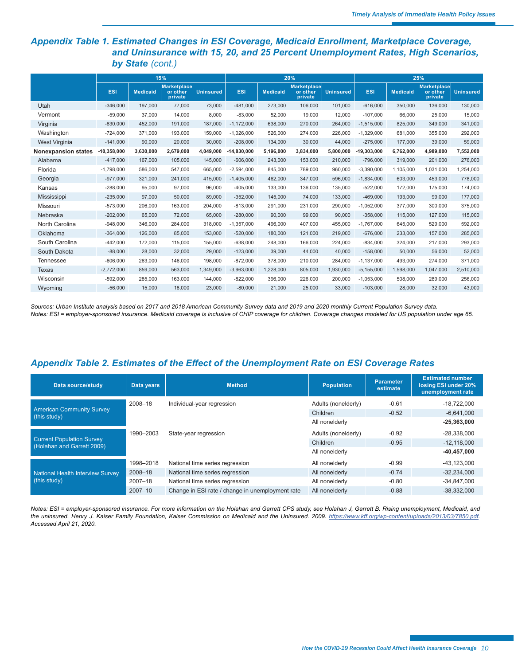## *Appendix Table 1. Estimated Changes in ESI Coverage, Medicaid Enrollment, Marketplace Coverage, and Uninsurance with 15, 20, and 25 Percent Unemployment Rates, High Scenarios, by State (cont.)*

|                            | 15%           |                 |                                           |                  | 20%           |                 |                                           |                  | 25%           |                 |                                           |                  |
|----------------------------|---------------|-----------------|-------------------------------------------|------------------|---------------|-----------------|-------------------------------------------|------------------|---------------|-----------------|-------------------------------------------|------------------|
|                            | ESI           | <b>Medicaid</b> | <b>Marketplace</b><br>or other<br>private | <b>Uninsured</b> | <b>ESI</b>    | <b>Medicaid</b> | <b>Marketplace</b><br>or other<br>private | <b>Uninsured</b> | <b>ESI</b>    | <b>Medicaid</b> | <b>Marketplace</b><br>or other<br>private | <b>Uninsured</b> |
| Utah                       | $-346,000$    | 197,000         | 77,000                                    | 73,000           | $-481,000$    | 273,000         | 106,000                                   | 101,000          | $-616,000$    | 350,000         | 136,000                                   | 130,000          |
| Vermont                    | $-59.000$     | 37,000          | 14,000                                    | 8,000            | $-83,000$     | 52,000          | 19,000                                    | 12,000           | $-107.000$    | 66,000          | 25,000                                    | 15,000           |
| Virginia                   | $-830,000$    | 452,000         | 191,000                                   | 187,000          | $-1,172,000$  | 638,000         | 270,000                                   | 264,000          | $-1,515,000$  | 825,000         | 349,000                                   | 341,000          |
| Washington                 | $-724,000$    | 371,000         | 193,000                                   | 159,000          | $-1,026,000$  | 526,000         | 274,000                                   | 226,000          | $-1,329,000$  | 681,000         | 355,000                                   | 292,000          |
| <b>West Virginia</b>       | $-141,000$    | 90,000          | 20,000                                    | 30,000           | $-208,000$    | 134,000         | 30,000                                    | 44,000           | $-275,000$    | 177,000         | 39,000                                    | 59,000           |
| <b>Nonexpansion states</b> | $-10,358,000$ | 3,630,000       | 2,679,000                                 | 4.049.000        | $-14,830,000$ | 5,196,000       | 3,834,000                                 | 5,800,000        | $-19,303,000$ | 6,762,000       | 4,989,000                                 | 7,552,000        |
| Alabama                    | $-417,000$    | 167,000         | 105,000                                   | 145,000          | $-606,000$    | 243,000         | 153,000                                   | 210,000          | $-796,000$    | 319,000         | 201,000                                   | 276,000          |
| Florida                    | $-1,798,000$  | 586,000         | 547,000                                   | 665,000          | $-2,594,000$  | 845,000         | 789.000                                   | 960,000          | $-3,390,000$  | 1,105,000       | 1,031,000                                 | 1,254,000        |
| Georgia                    | $-977,000$    | 321,000         | 241,000                                   | 415.000          | $-1,405,000$  | 462,000         | 347.000                                   | 596,000          | $-1,834,000$  | 603,000         | 453,000                                   | 778,000          |
| Kansas                     | $-288,000$    | 95,000          | 97,000                                    | 96,000           | $-405,000$    | 133,000         | 136,000                                   | 135,000          | $-522,000$    | 172,000         | 175,000                                   | 174,000          |
| Mississippi                | $-235,000$    | 97,000          | 50,000                                    | 89,000           | $-352,000$    | 145,000         | 74,000                                    | 133,000          | $-469,000$    | 193,000         | 99,000                                    | 177,000          |
| Missouri                   | $-573,000$    | 206,000         | 163,000                                   | 204,000          | $-813,000$    | 291,000         | 231,000                                   | 290,000          | $-1,052,000$  | 377,000         | 300,000                                   | 375,000          |
| Nebraska                   | $-202,000$    | 65,000          | 72,000                                    | 65,000           | $-280,000$    | 90,000          | 99,000                                    | 90,000           | $-358,000$    | 115,000         | 127,000                                   | 115,000          |
| North Carolina             | $-948,000$    | 346,000         | 284,000                                   | 318,000          | $-1,357,000$  | 496,000         | 407,000                                   | 455,000          | $-1,767,000$  | 645,000         | 529,000                                   | 592,000          |
| Oklahoma                   | $-364,000$    | 126,000         | 85,000                                    | 153,000          | $-520,000$    | 180,000         | 121.000                                   | 219,000          | $-676,000$    | 233.000         | 157,000                                   | 285,000          |
| South Carolina             | $-442,000$    | 172,000         | 115,000                                   | 155,000          | $-638,000$    | 248,000         | 166,000                                   | 224,000          | $-834,000$    | 324.000         | 217,000                                   | 293,000          |
| South Dakota               | $-88,000$     | 28,000          | 32,000                                    | 29,000           | $-123,000$    | 39,000          | 44,000                                    | 40,000           | $-158,000$    | 50,000          | 56,000                                    | 52,000           |
| Tennessee                  | $-606,000$    | 263,000         | 146,000                                   | 198,000          | $-872,000$    | 378,000         | 210,000                                   | 284,000          | $-1,137,000$  | 493,000         | 274,000                                   | 371,000          |
| Texas                      | $-2,772,000$  | 859,000         | 563,000                                   | 1,349,000        | $-3,963,000$  | 1,228,000       | 805,000                                   | 1,930,000        | $-5,155,000$  | 1,598,000       | 1,047,000                                 | 2,510,000        |
| Wisconsin                  | $-592,000$    | 285,000         | 163,000                                   | 144,000          | $-822,000$    | 396,000         | 226,000                                   | 200,000          | $-1,053,000$  | 508,000         | 289,000                                   | 256,000          |
| Wyoming                    | $-56,000$     | 15,000          | 18,000                                    | 23,000           | $-80,000$     | 21,000          | 25,000                                    | 33,000           | $-103,000$    | 28,000          | 32,000                                    | 43,000           |

*Sources: Urban Institute analysis based on 2017 and 2018 American Community Survey data and 2019 and 2020 monthly Current Population Survey data. Notes: ESI = employer-sponsored insurance. Medicaid coverage is inclusive of CHIP coverage for children. Coverage changes modeled for US population under age 65.*

### *Appendix Table 2. Estimates of the Effect of the Unemployment Rate on ESI Coverage Rates*

| Data source/study                                              | Data years  | <b>Method</b>                                    | <b>Population</b>   | <b>Parameter</b><br>estimate | <b>Estimated number</b><br>losing ESI under 20%<br>unemployment rate |
|----------------------------------------------------------------|-------------|--------------------------------------------------|---------------------|------------------------------|----------------------------------------------------------------------|
|                                                                | 2008-18     | Individual-year regression                       | Adults (nonelderly) | $-0.61$                      | $-18.722.000$                                                        |
| <b>American Community Survey</b><br>(this study)               |             |                                                  | Children            | $-0.52$                      | $-6.641.000$                                                         |
|                                                                |             |                                                  | All nonelderly      |                              | $-25,363,000$                                                        |
| <b>Current Population Survey</b><br>(Holahan and Garrett 2009) | 1990-2003   | State-year regression                            | Adults (nonelderly) | $-0.92$                      | $-28.338.000$                                                        |
|                                                                |             |                                                  | Children            | $-0.95$                      | $-12.118.000$                                                        |
|                                                                |             |                                                  | All nonelderly      |                              | $-40,457,000$                                                        |
|                                                                | 1998-2018   | National time series regression                  | All nonelderly      | $-0.99$                      | $-43,123,000$                                                        |
| <b>National Health Interview Survey</b><br>(this study)        | 2008-18     | National time series regression                  | All nonelderly      | $-0.74$                      | $-32.234.000$                                                        |
|                                                                | $2007 - 18$ | National time series regression                  | All nonelderly      | $-0.80$                      | $-34.847.000$                                                        |
|                                                                | $2007 - 10$ | Change in ESI rate / change in unemployment rate | All nonelderly      | $-0.88$                      | $-38.332.000$                                                        |

*Notes: ESI = employer-sponsored insurance. For more information on the Holahan and Garrett CPS study, see Holahan J, Garrett B. Rising unemployment, Medicaid, and*  the uninsured. Henry J. Kaiser Family Foundation, Kaiser Commission on Medicaid and the Uninsured. 2009. <https://www.kff.org/wp-content/uploads/2013/03/7850.pdf>. *Accessed April 21, 2020.*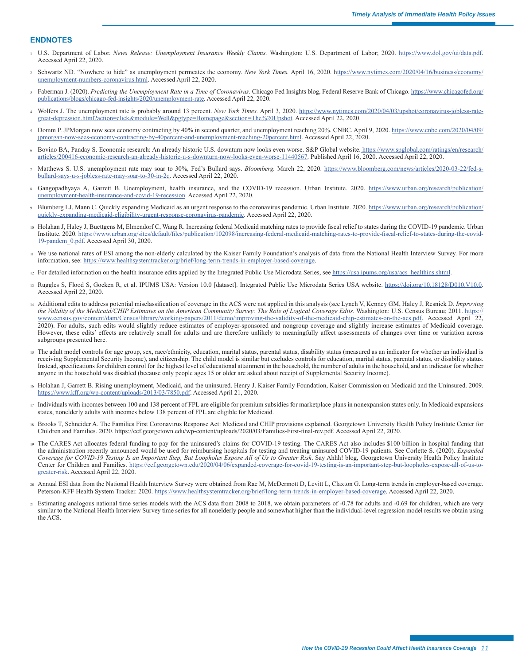#### <span id="page-10-0"></span>**ENDNOTES**

- <sup>1</sup> [U.](#page-0-0)S. Department of Labor. *News Release: Unemployment Insurance Weekly Claims.* Washington: U.S. Department of Labor; 2020. <https://www.dol.gov/ui/data.pdf>. Accessed April 22, 2020.
- <sup>2</sup> [S](#page-0-0)chwartz ND. "Nowhere to hide" as unemployment permeates the economy. *New York Times.* April 16, 2020. h[ttps://www.nytimes.com/2020/04/16/business/economy/](ttps://www.nytimes.com/2020/04/16/business/economy/unemployment-numbers-coronavirus.html) [unemployment-numbers-coronavirus.html](ttps://www.nytimes.com/2020/04/16/business/economy/unemployment-numbers-coronavirus.html). Accessed April 22, 2020.
- <sup>3</sup> [F](#page-0-0)aberman J. (2020). *Predicting the Unemployment Rate in a Time of Coronavirus.* Chicago Fed Insights blog, Federal Reserve Bank of Chicago. [https://www.chicagofed.org/](https://www.chicagofed.org/publications/blogs/chicago-fed-insights/2020/unemployment-rate) [publications/blogs/chicago-fed-insights/2020/unemployment-rate.](https://www.chicagofed.org/publications/blogs/chicago-fed-insights/2020/unemployment-rate) Accessed April 22, 2020.
- <sup>4</sup> [Wo](#page-0-0)lfers J. The unemployment rate is probably around 13 percent. *New York Times.* April 3, 2020. [https://www.nytimes.com/2020/04/03/upshot/coronavirus-jobless-rate](https://www.nytimes.com/2020/04/03/upshot/coronavirus-jobless-rate-great-depression.html?action=click&module=Well&pgtype=Homepage§ion=The%20Upshot)[great-depression.html?action=click&module=Well&pgtype=Homepage&section=The%20Upshot](https://www.nytimes.com/2020/04/03/upshot/coronavirus-jobless-rate-great-depression.html?action=click&module=Well&pgtype=Homepage§ion=The%20Upshot). Accessed April 22, 2020.
- <sup>5</sup> [Do](#page-0-0)mm P. JPMorgan now sees economy contracting by 40% in second quarter, and unemployment reaching 20%. CNBC. April 9, 2020. [https://www.cnbc.com/2020/04/09/](https://www.cnbc.com/2020/04/09/jpmorgan-now-sees-economy-contracting-by-40percent-and-unemployment-reaching-20percent.html) [jpmorgan-now-sees-economy-contracting-by-40percent-and-unemployment-reaching-20percent.html](https://www.cnbc.com/2020/04/09/jpmorgan-now-sees-economy-contracting-by-40percent-and-unemployment-reaching-20percent.html). Accessed April 22, 2020.
- [B](#page-0-0)ovino BA, Panday S. Economic research: An already historic U.S. downturn now looks even worse. S&P Global website. [https://www.spglobal.com/ratings/en/research/](https://www.spglobal.com/ratings/en/research/articles/200416-economic-research-an-already-historic-u-s-downturn-now-looks-even-worse-11440567) [articles/200416-economic-research-an-already-historic-u-s-downturn-now-looks-even-worse-11440567](https://www.spglobal.com/ratings/en/research/articles/200416-economic-research-an-already-historic-u-s-downturn-now-looks-even-worse-11440567). Published April 16, 2020. Accessed April 22, 2020.
- <sup>7</sup> [Ma](#page-0-0)tthews S. U.S. unemployment rate may soar to 30%, Fed's Bullard says. *Bloomberg.* March 22, 2020. [https://www.bloomberg.com/news/articles/2020-03-22/fed-s](https://www.bloomberg.com/news/articles/2020-03-22/fed-s-bullard-says-u-s-jobless-rate-may-soar-to-30-in-2q)[bullard-says-u-s-jobless-rate-may-soar-to-30-in-2q](https://www.bloomberg.com/news/articles/2020-03-22/fed-s-bullard-says-u-s-jobless-rate-may-soar-to-30-in-2q). Accessed April 22, 2020.
- [Ga](#page-0-0)ngopadhyaya A, Garrett B. Unemployment, health insurance, and the COVID-19 recession. Urban Institute. 2020. [https://www.urban.org/research/publication/](https://www.urban.org/research/publication/unemployment-health-insurance-and-covid-19-recession) [unemployment-health-insurance-and-covid-19-recession.](https://www.urban.org/research/publication/unemployment-health-insurance-and-covid-19-recession) Accessed April 22, 2020.
- [B](#page-1-0)lumberg LJ, Mann C. Quickly expanding Medicaid as an urgent response to the coronavirus pandemic. Urban Institute. 2020. [https://www.urban.org/research/publication/](https://www.urban.org/research/publication/quickly-expanding-medicaid-eligibility-urgent-response-coronavirus-pandemic) [quickly-expanding-medicaid-eligibility-urgent-response-coronavirus-pandemic.](https://www.urban.org/research/publication/quickly-expanding-medicaid-eligibility-urgent-response-coronavirus-pandemic) Accessed April 22, 2020.
- <sup>10</sup> [Ho](#page-1-0)lahan J, Haley J, Buettgens M, Elmendorf C, Wang R. Increasing federal Medicaid matching rates to provide fiscal relief to states during the COVID-19 pandemic. Urban Institute. 2020. [https://www.urban.org/sites/default/files/publication/102098/increasing-federal-medicaid-matching-rates-to-provide-fiscal-relief-to-states-during-the-covid-](https://www.urban.org/sites/default/files/publication/102098/increasing-federal-medicaid-matching-rates-to-provide-fiscal-relief-to-states-during-the-covid-19-pandem_0.pdf)[19-pandem\\_0.pdf.](https://www.urban.org/sites/default/files/publication/102098/increasing-federal-medicaid-matching-rates-to-provide-fiscal-relief-to-states-during-the-covid-19-pandem_0.pdf) Accessed April 30, 2020.
- <sup>11</sup> [We](#page-1-0) use national rates of ESI among the non-elderly calculated by the Kaiser Family Foundation's analysis of data from the National Health Interview Survey. For more information, see: [https://www.healthsystemtracker.org/brief/long-term-trends-in-employer-based-coverage.](https://www.healthsystemtracker.org/brief/long-term-trends-in-employer-based-coverage)
- 12 [F](#page-1-0)or detailed information on the health insurance edits applied by the Integrated Public Use Microdata Series, see [https://usa.ipums.org/usa/acs\\_healthins.shtml.](https://usa.ipums.org/usa/acs_healthins.shtml)
- 13 [R](#page-1-0)uggles S, Flood S, Goeken R, et al. IPUMS USA: Version 10.0 [dataset]. Integrated Public Use Microdata Series USA website. <https://doi.org/10.18128/D010.V10.0>. Accessed April 22, 2020.
- <sup>14</sup> [Ad](#page-1-0)ditional edits to address potential misclassification of coverage in the ACS were not applied in this analysis (see Lynch V, Kenney GM, Haley J, Resnick D. *Improving the Validity of the Medicaid/CHIP Estimates on the American Community Survey: The Role of Logical Coverage Edits.* Washington: U.S. Census Bureau; 2011. [https://](https://www.census.gov/content/dam/Census/library/working-papers/2011/demo/improving-the-validity-of-the-medicaid-chip-estimates-on-the-acs.pdf) [www.census.gov/content/dam/Census/library/working-papers/2011/demo/improving-the-validity-of-the-medicaid-chip-estimates-on-the-acs.pdf.](https://www.census.gov/content/dam/Census/library/working-papers/2011/demo/improving-the-validity-of-the-medicaid-chip-estimates-on-the-acs.pdf) Accessed April 22, 2020). For adults, such edits would slightly reduce estimates of employer-sponsored and nongroup coverage and slightly increase estimates of Medicaid coverage. However, these edits' effects are relatively small for adults and are therefore unlikely to meaningfully affect assessments of changes over time or variation across subgroups presented here.
- <sup>15</sup> [Th](#page-1-0)e adult model controls for age group, sex, race/ethnicity, education, marital status, parental status, disability status (measured as an indicator for whether an individual is receiving Supplemental Security Income), and citizenship. The child model is similar but excludes controls for education, marital status, parental status, or disability status. Instead, specifications for children control for the highest level of educational attainment in the household, the number of adults in the household, and an indicator for whether anyone in the household was disabled (because only people ages 15 or older are asked about receipt of Supplemental Security Income).
- <sup>16</sup> [Ho](#page-1-0)lahan J, Garrett B. Rising unemployment, Medicaid, and the uninsured. Henry J. Kaiser Family Foundation, Kaiser Commission on Medicaid and the Uninsured. 2009. [https://www.kff.org/wp-content/uploads/2013/03/7850.pdf.](https://www.kff.org/wp-content/uploads/2013/03/7850.pdf) Accessed April 21, 2020.
- <sup>17</sup> [In](#page-4-0)dividuals with incomes between 100 and 138 percent of FPL are eligible for premium subsidies for marketplace plans in nonexpansion states only. In Medicaid expansions states, nonelderly adults with incomes below 138 percent of FPL are eligible for Medicaid.
- 18 [B](#page-6-0)rooks T, Schneider A. The Families First Coronavirus Response Act: Medicaid and CHIP provisions explained. Georgetown University Health Policy Institute Center for Children and Families. 2020. https://ccf.georgetown.edu/wp-content/uploads/2020/03/Families-First-final-rev.pdf. Accessed April 22, 2020.
- <sup>19</sup> [Th](#page-6-0)e CARES Act allocates federal funding to pay for the uninsured's claims for COVID-19 testing. The CARES Act also includes \$100 billion in hospital funding that the administration recently announced would be used for reimbursing hospitals for testing and treating uninsured COVID-19 patients. See Corlette S. (2020). *Expanded Coverage for COVID-19 Testing Is an Important Step, But Loopholes Expose All of Us to Greater Risk*. Say Ahhh! blog, Georgetown University Health Policy Institute Center for Children and Families. [https://ccf.georgetown.edu/2020/04/06/expanded-coverage-for-covid-19-testing-is-an-important-step-but-loopholes-expose-all-of-us-to](https://ccf.georgetown.edu/2020/04/06/expanded-coverage-for-covid-19-testing-is-an-important-step-but-loopholes-expose-all-of-us-to-greater-risk)[greater-risk.](https://ccf.georgetown.edu/2020/04/06/expanded-coverage-for-covid-19-testing-is-an-important-step-but-loopholes-expose-all-of-us-to-greater-risk) Accessed April 22, 2020.
- <sup>20</sup> [An](#page-7-0)nual ESI data from the National Health Interview Survey were obtained from Rae M, McDermott D, Levitt L, Claxton G. Long-term trends in employer-based coverage. Peterson-KFF Health System Tracker. 2020. [https://www.healthsystemtracker.org/brief/long-term-trends-in-employer-based-coverage.](https://www.healthsystemtracker.org/brief/long-term-trends-in-employer-based-coverage) Accessed April 22, 2020.
- <sup>21</sup> [Es](#page-7-0)timating analogous national time series models with the ACS data from 2008 to 2018, we obtain parameters of -0.78 for adults and -0.69 for children, which are very similar to the National Health Interview Survey time series for all nonelderly people and somewhat higher than the individual-level regression model results we obtain using the ACS.